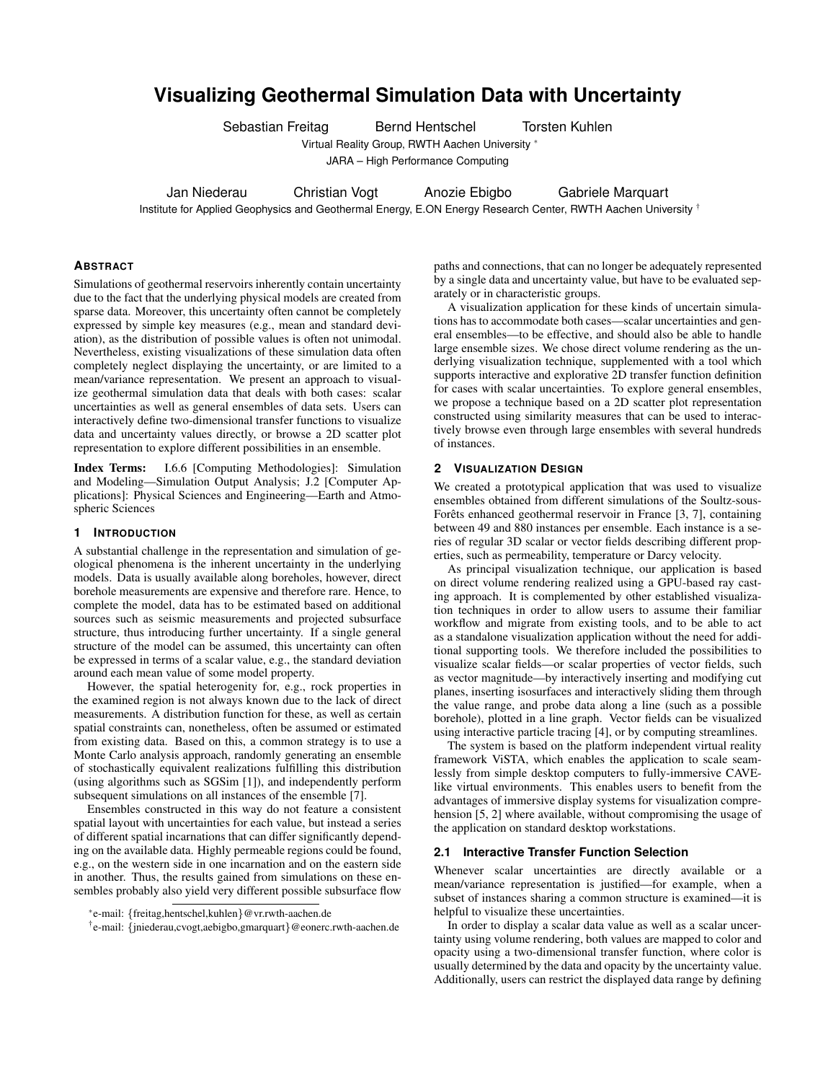# **Visualizing Geothermal Simulation Data with Uncertainty**

Sebastian Freitag Bernd Hentschel Torsten Kuhlen

Virtual Reality Group, RWTH Aachen University <sup>∗</sup>

JARA – High Performance Computing

Jan Niederau Christian Vogt Anozie Ebigbo Gabriele Marquart

Institute for Applied Geophysics and Geothermal Energy, E.ON Energy Research Center, RWTH Aachen University <sup>†</sup>

## **ABSTRACT**

Simulations of geothermal reservoirs inherently contain uncertainty due to the fact that the underlying physical models are created from sparse data. Moreover, this uncertainty often cannot be completely expressed by simple key measures (e.g., mean and standard deviation), as the distribution of possible values is often not unimodal. Nevertheless, existing visualizations of these simulation data often completely neglect displaying the uncertainty, or are limited to a mean/variance representation. We present an approach to visualize geothermal simulation data that deals with both cases: scalar uncertainties as well as general ensembles of data sets. Users can interactively define two-dimensional transfer functions to visualize data and uncertainty values directly, or browse a 2D scatter plot representation to explore different possibilities in an ensemble.

Index Terms: I.6.6 [Computing Methodologies]: Simulation and Modeling—Simulation Output Analysis; J.2 [Computer Applications]: Physical Sciences and Engineering—Earth and Atmospheric Sciences

## **1 INTRODUCTION**

A substantial challenge in the representation and simulation of geological phenomena is the inherent uncertainty in the underlying models. Data is usually available along boreholes, however, direct borehole measurements are expensive and therefore rare. Hence, to complete the model, data has to be estimated based on additional sources such as seismic measurements and projected subsurface structure, thus introducing further uncertainty. If a single general structure of the model can be assumed, this uncertainty can often be expressed in terms of a scalar value, e.g., the standard deviation around each mean value of some model property.

However, the spatial heterogenity for, e.g., rock properties in the examined region is not always known due to the lack of direct measurements. A distribution function for these, as well as certain spatial constraints can, nonetheless, often be assumed or estimated from existing data. Based on this, a common strategy is to use a Monte Carlo analysis approach, randomly generating an ensemble of stochastically equivalent realizations fulfilling this distribution (using algorithms such as SGSim [1]), and independently perform subsequent simulations on all instances of the ensemble [7].

Ensembles constructed in this way do not feature a consistent spatial layout with uncertainties for each value, but instead a series of different spatial incarnations that can differ significantly depending on the available data. Highly permeable regions could be found, e.g., on the western side in one incarnation and on the eastern side in another. Thus, the results gained from simulations on these ensembles probably also yield very different possible subsurface flow

paths and connections, that can no longer be adequately represented by a single data and uncertainty value, but have to be evaluated separately or in characteristic groups.

A visualization application for these kinds of uncertain simulations has to accommodate both cases—scalar uncertainties and general ensembles—to be effective, and should also be able to handle large ensemble sizes. We chose direct volume rendering as the underlying visualization technique, supplemented with a tool which supports interactive and explorative 2D transfer function definition for cases with scalar uncertainties. To explore general ensembles, we propose a technique based on a 2D scatter plot representation constructed using similarity measures that can be used to interactively browse even through large ensembles with several hundreds of instances.

#### **2 VISUALIZATION DESIGN**

We created a prototypical application that was used to visualize ensembles obtained from different simulations of the Soultz-sous-Forêts enhanced geothermal reservoir in France [3, 7], containing between 49 and 880 instances per ensemble. Each instance is a series of regular 3D scalar or vector fields describing different properties, such as permeability, temperature or Darcy velocity.

As principal visualization technique, our application is based on direct volume rendering realized using a GPU-based ray casting approach. It is complemented by other established visualization techniques in order to allow users to assume their familiar workflow and migrate from existing tools, and to be able to act as a standalone visualization application without the need for additional supporting tools. We therefore included the possibilities to visualize scalar fields—or scalar properties of vector fields, such as vector magnitude—by interactively inserting and modifying cut planes, inserting isosurfaces and interactively sliding them through the value range, and probe data along a line (such as a possible borehole), plotted in a line graph. Vector fields can be visualized using interactive particle tracing [4], or by computing streamlines.

The system is based on the platform independent virtual reality framework ViSTA, which enables the application to scale seamlessly from simple desktop computers to fully-immersive CAVElike virtual environments. This enables users to benefit from the advantages of immersive display systems for visualization comprehension [5, 2] where available, without compromising the usage of the application on standard desktop workstations.

# **2.1 Interactive Transfer Function Selection**

Whenever scalar uncertainties are directly available or a mean/variance representation is justified—for example, when a subset of instances sharing a common structure is examined—it is helpful to visualize these uncertainties.

In order to display a scalar data value as well as a scalar uncertainty using volume rendering, both values are mapped to color and opacity using a two-dimensional transfer function, where color is usually determined by the data and opacity by the uncertainty value. Additionally, users can restrict the displayed data range by defining

<sup>∗</sup> e-mail: {freitag,hentschel,kuhlen}@vr.rwth-aachen.de

<sup>†</sup> e-mail: {jniederau,cvogt,aebigbo,gmarquart}@eonerc.rwth-aachen.de